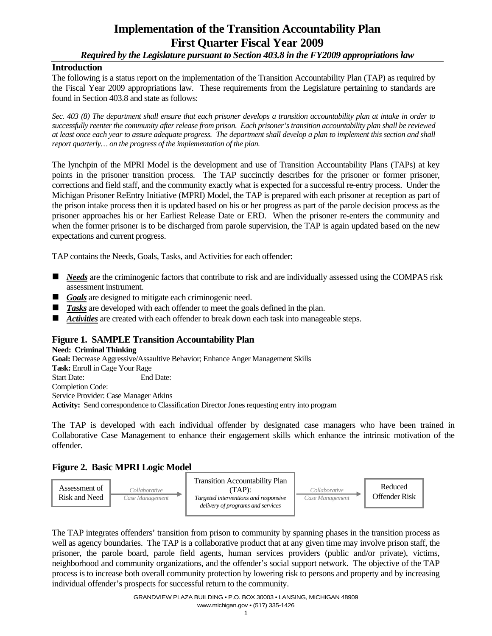# **Implementation of the Transition Accountability Plan First Quarter Fiscal Year 2009**

*Required by the Legislature pursuant to Section 403.8 in the FY2009 appropriations law* 

### **Introduction**

The following is a status report on the implementation of the Transition Accountability Plan (TAP) as required by the Fiscal Year 2009 appropriations law. These requirements from the Legislature pertaining to standards are found in Section 403.8 and state as follows:

*Sec. 403 (8) The department shall ensure that each prisoner develops a transition accountability plan at intake in order to successfully reenter the community after release from prison. Each prisoner's transition accountability plan shall be reviewed at least once each year to assure adequate progress. The department shall develop a plan to implement this section and shall report quarterly… on the progress of the implementation of the plan.* 

The lynchpin of the MPRI Model is the development and use of Transition Accountability Plans (TAPs) at key points in the prisoner transition process. The TAP succinctly describes for the prisoner or former prisoner, corrections and field staff, and the community exactly what is expected for a successful re-entry process. Under the Michigan Prisoner ReEntry Initiative (MPRI) Model, the TAP is prepared with each prisoner at reception as part of the prison intake process then it is updated based on his or her progress as part of the parole decision process as the prisoner approaches his or her Earliest Release Date or ERD. When the prisoner re-enters the community and when the former prisoner is to be discharged from parole supervision, the TAP is again updated based on the new expectations and current progress.

TAP contains the Needs, Goals, Tasks, and Activities for each offender:

- *Needs* are the criminogenic factors that contribute to risk and are individually assessed using the COMPAS risk assessment instrument.
- Goals are designed to mitigate each criminogenic need.
- **Tasks** are developed with each offender to meet the goals defined in the plan.
- **Activities** are created with each offender to break down each task into manageable steps.

## **Figure 1. SAMPLE Transition Accountability Plan**

**Need: Criminal Thinking Goal:** Decrease Aggressive/Assaultive Behavior; Enhance Anger Management Skills **Task:** Enroll in Cage Your Rage Start Date: End Date: Completion Code: Service Provider: Case Manager Atkins **Activity:** Send correspondence to Classification Director Jones requesting entry into program

The TAP is developed with each individual offender by designated case managers who have been trained in Collaborative Case Management to enhance their engagement skills which enhance the intrinsic motivation of the offender.

## **Figure 2. Basic MPRI Logic Model**



The TAP integrates offenders' transition from prison to community by spanning phases in the transition process as well as agency boundaries. The TAP is a collaborative product that at any given time may involve prison staff, the prisoner, the parole board, parole field agents, human services providers (public and/or private), victims, neighborhood and community organizations, and the offender's social support network. The objective of the TAP process is to increase both overall community protection by lowering risk to persons and property and by increasing individual offender's prospects for successful return to the community.

> GRANDVIEW PLAZA BUILDING • P.O. BOX 30003 • LANSING, MICHIGAN 48909 www.michigan.gov • (517) 335-1426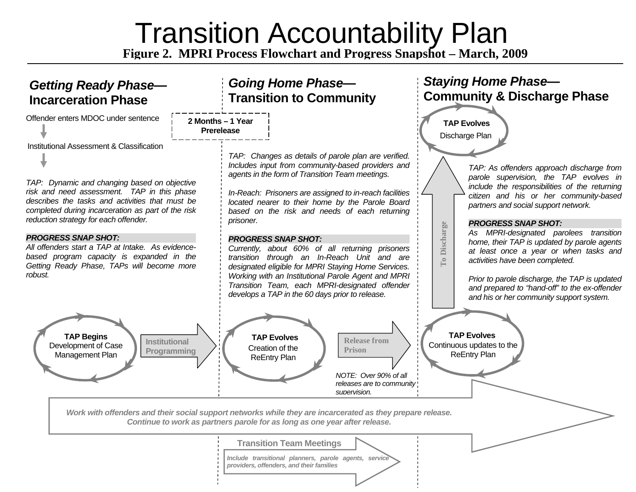# **Transition Accountability Plan**

**gure 2. MPRI Process Flowchart and Pro gress Sna pshot – March, 2009**

# *Getting Ready Phase—*

Offender enters MDOC under sentence Institutional Assessment & Classification

*TAP: Dynamic and changing based on objective risk and need assessment. TAP in this phase describes the tasks and activities that must be completed during incarceration as part of the risk reduction strategy for each offender.* 

#### *PROGRESS SNAP SHOT:*

*All offenders start a TAP at Intake. As evidencebased program capacity is expanded in the Getting Ready Phase, TAPs will become more robust.* 

> **Institutional Programming**

*Going Home Phase—*  Incarceration Phase Transition to Community

| 2 Months - 1 Year |  |
|-------------------|--|
| <b>Prerelease</b> |  |

*TAP: Changes as details of parole plan are verified. Includes input from community-based providers and agents in the form of Transition Team meetings.* 

*In-Reach: Prisoners are assigned to in-reach facilities located nearer to their home by the Parole Board based on the risk and needs of each returning prisoner.* 

#### *PROGRESS SNAP SHOT:*

*Currently, about 60% of all returning prisoners transition through an In-Reach Unit and are designated eligible for MPRI Staying Home Services. Working with an Institutional Parole Agent and MPRI Transition Team, each MPRI-designated offender develops a TAP in the 60 days prior to release.* 

# **TAP Begins**  Development of Case Management Plan

Creation of the ReEntry Plan



*NOTE: Over 90% of all releases are to community supervision.*

# *Staying Home Phase—*  **Community & Discharge Phase**

Discharge Plan **TAP Evolves**

**To Discharge** 

**To Discharge** 

*TAP: As offenders approach discharge from parole supervision, the TAP evolves in include the responsibilities of the returning citizen and his or her community-based partners and social support network.* 

#### *PROGRESS SNAP SHOT:*

*As MPRI-designated parolees transition home, their TAP is updated by parole agents at least once a year or when tasks and activities have been completed.* 

*Prior to parole discharge, the TAP is updated and prepared to "hand-off" to the ex-offender and his or her community support system.* 

Continuous updates to the **TAP Evolves** 

ReEntry Plan

*Work with offenders and their social support networks while they are incarcerated as they prepare release. Continue to work as partners parole for as long as one year after release.* 

**Transition Team Meetings** 

*Include transitional planners, parole agents, service providers, offenders, and their families*